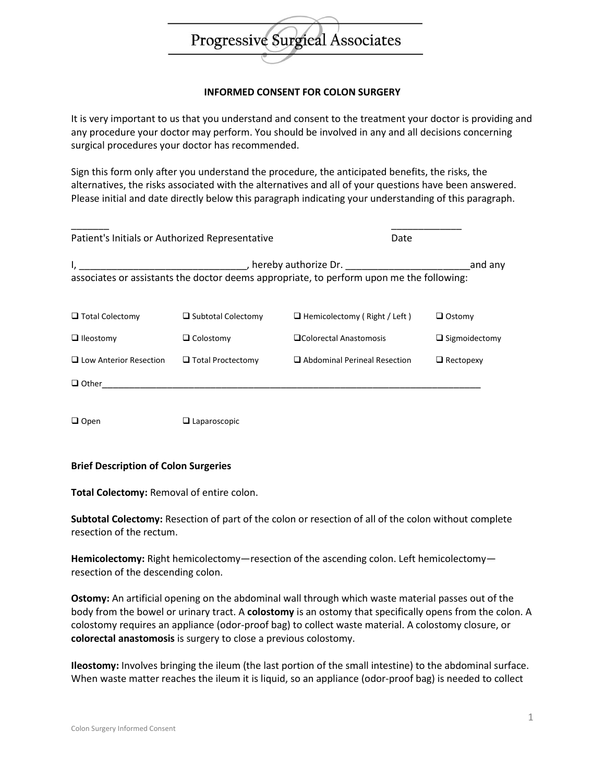

## **INFORMED CONSENT FOR COLON SURGERY**

It is very important to us that you understand and consent to the treatment your doctor is providing and any procedure your doctor may perform. You should be involved in any and all decisions concerning surgical procedures your doctor has recommended.

Sign this form only after you understand the procedure, the anticipated benefits, the risks, the alternatives, the risks associated with the alternatives and all of your questions have been answered. Please initial and date directly below this paragraph indicating your understanding of this paragraph.

| Patient's Initials or Authorized Representative |                           |                                                                                                                    | Date                 |
|-------------------------------------------------|---------------------------|--------------------------------------------------------------------------------------------------------------------|----------------------|
|                                                 |                           | , hereby authorize Dr.<br>associates or assistants the doctor deems appropriate, to perform upon me the following: | and any              |
| $\Box$ Total Colectomy                          | $\Box$ Subtotal Colectomy | $\Box$ Hemicolectomy (Right / Left)                                                                                | $\Box$ Ostomy        |
| $\Box$ Ileostomy                                | $\Box$ Colostomy          | □Colorectal Anastomosis                                                                                            | $\Box$ Sigmoidectomy |
| $\Box$ Low Anterior Resection                   | $\Box$ Total Proctectomy  | $\Box$ Abdominal Perineal Resection                                                                                | $\Box$ Rectopexy     |
| $\Box$ Other                                    |                           |                                                                                                                    |                      |

□ Open □ Laparoscopic

#### **Brief Description of Colon Surgeries**

**Total Colectomy:** Removal of entire colon.

**Subtotal Colectomy:** Resection of part of the colon or resection of all of the colon without complete resection of the rectum.

**Hemicolectomy:** Right hemicolectomy—resection of the ascending colon. Left hemicolectomy resection of the descending colon.

**Ostomy:** An artificial opening on the abdominal wall through which waste material passes out of the body from the bowel or urinary tract. A **colostomy** is an ostomy that specifically opens from the colon. A colostomy requires an appliance (odor-proof bag) to collect waste material. A colostomy closure, or **colorectal anastomosis** is surgery to close a previous colostomy.

**Ileostomy:** Involves bringing the ileum (the last portion of the small intestine) to the abdominal surface. When waste matter reaches the ileum it is liquid, so an appliance (odor-proof bag) is needed to collect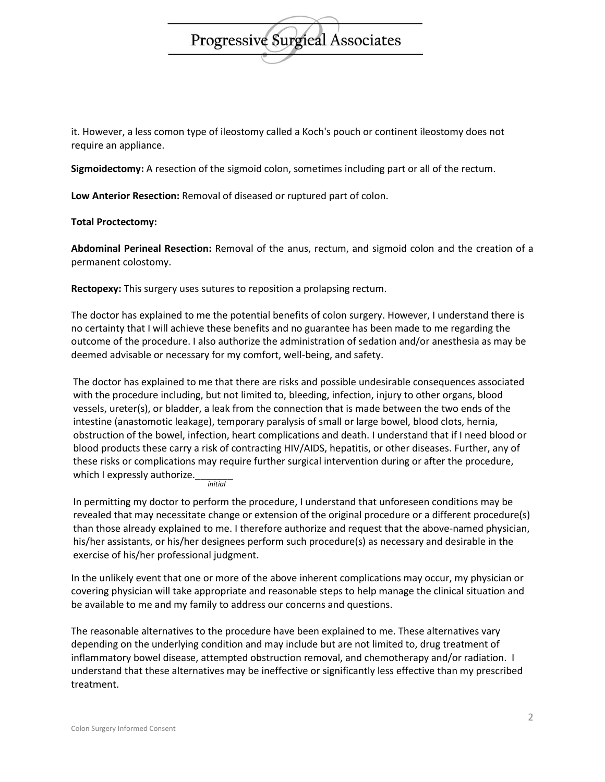# **Progressive Surgieal Associates**

it. However, a less comon type of ileostomy called a Koch's pouch or continent ileostomy does not require an appliance.

**Sigmoidectomy:** A resection of the sigmoid colon, sometimes including part or all of the rectum.

**Low Anterior Resection:** Removal of diseased or ruptured part of colon.

**Total Proctectomy:**

**Abdominal Perineal Resection:** Removal of the anus, rectum, and sigmoid colon and the creation of a permanent colostomy.

**Rectopexy:** This surgery uses sutures to reposition a prolapsing rectum.

The doctor has explained to me the potential benefits of colon surgery. However, I understand there is no certainty that I will achieve these benefits and no guarantee has been made to me regarding the outcome of the procedure. I also authorize the administration of sedation and/or anesthesia as may be deemed advisable or necessary for my comfort, well-being, and safety.

The doctor has explained to me that there are risks and possible undesirable consequences associated with the procedure including, but not limited to, bleeding, infection, injury to other organs, blood vessels, ureter(s), or bladder, a leak from the connection that is made between the two ends of the intestine (anastomotic leakage), temporary paralysis of small or large bowel, blood clots, hernia, obstruction of the bowel, infection, heart complications and death. I understand that if I need blood or blood products these carry a risk of contracting HIV/AIDS, hepatitis, or other diseases. Further, any of these risks or complications may require further surgical intervention during or after the procedure, which I expressly authorize. *initial*

In permitting my doctor to perform the procedure, I understand that unforeseen conditions may be revealed that may necessitate change or extension of the original procedure or a different procedure(s) than those already explained to me. I therefore authorize and request that the above-named physician, his/her assistants, or his/her designees perform such procedure(s) as necessary and desirable in the exercise of his/her professional judgment.

In the unlikely event that one or more of the above inherent complications may occur, my physician or covering physician will take appropriate and reasonable steps to help manage the clinical situation and be available to me and my family to address our concerns and questions.

The reasonable alternatives to the procedure have been explained to me. These alternatives vary depending on the underlying condition and may include but are not limited to, drug treatment of inflammatory bowel disease, attempted obstruction removal, and chemotherapy and/or radiation. I understand that these alternatives may be ineffective or significantly less effective than my prescribed treatment.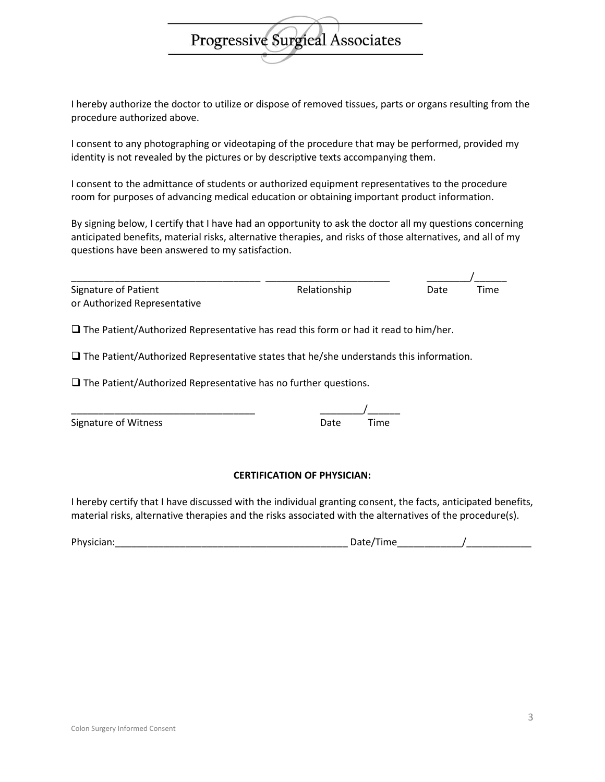I hereby authorize the doctor to utilize or dispose of removed tissues, parts or organs resulting from the procedure authorized above.

Progressive Surgical Associates

I consent to any photographing or videotaping of the procedure that may be performed, provided my identity is not revealed by the pictures or by descriptive texts accompanying them.

I consent to the admittance of students or authorized equipment representatives to the procedure room for purposes of advancing medical education or obtaining important product information.

By signing below, I certify that I have had an opportunity to ask the doctor all my questions concerning anticipated benefits, material risks, alternative therapies, and risks of those alternatives, and all of my questions have been answered to my satisfaction.

| Signature of Patient                                                                          | Relationship | Date | Time |  |  |
|-----------------------------------------------------------------------------------------------|--------------|------|------|--|--|
| or Authorized Representative                                                                  |              |      |      |  |  |
| $\Box$ The Patient/Authorized Representative has read this form or had it read to him/her.    |              |      |      |  |  |
| $\Box$ The Patient/Authorized Representative states that he/she understands this information. |              |      |      |  |  |

 $\square$  The Patient/Authorized Representative has no further questions.

| <b>Signature of Witness</b> | Date | Time |
|-----------------------------|------|------|

#### **CERTIFICATION OF PHYSICIAN:**

I hereby certify that I have discussed with the individual granting consent, the facts, anticipated benefits, material risks, alternative therapies and the risks associated with the alternatives of the procedure(s).

| Physici<br>___ | .<br>________ |  |
|----------------|---------------|--|
|                |               |  |